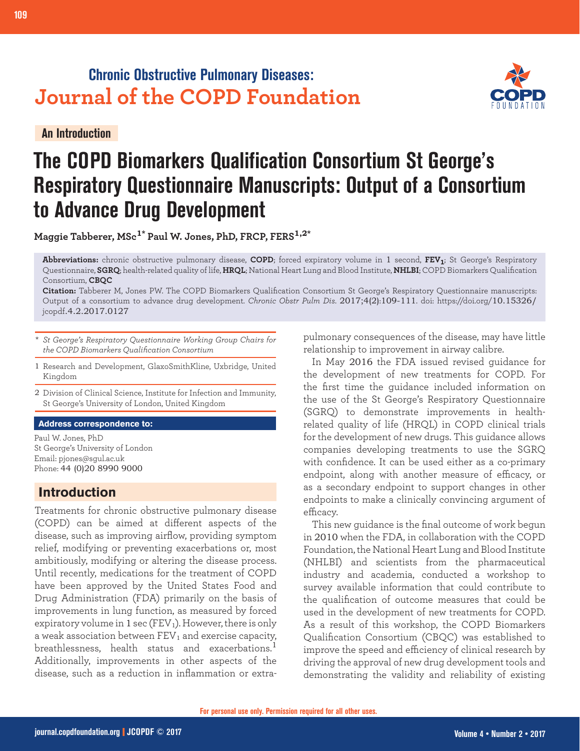## **Chronic Obstructive Pulmonary Diseases: Journal of the COPD Foundation**

**An Introduction**



# **The COPD Biomarkers Qualification Consortium St George's Respiratory Questionnaire Manuscripts: Output of a Consortium to Advance Drug Development**

**Maggie Tabberer, MSc1\* Paul W. Jones, PhD, FRCP, FERS1,2\***

**Abbreviations:** chronic obstructive pulmonary disease, **COPD**; forced expiratory volume in 1 second, **FEV1**; St George's Respiratory Questionnaire, **SGRQ**; health-related quality of life, **HRQL**; National Heart Lung and Blood Institute, **NHLBI**; COPD Biomarkers Qualification Consortium, **CBQC**

**Citation:** Tabberer M, Jones PW. The COPD Biomarkers Qualification Consortium St George's Respiratory Questionnaire manuscripts: Output of a consortium to advance drug development. *Chronic Obstr Pulm Dis*. 2017;4(2):109-111. doi: https://doi.org/10.15326/ jcopdf.4.2.2017.0127

- \* *St George's Respiratory Questionnaire Working Group Chairs for the COPD Biomarkers Qualification Consortium*
- 1 Research and Development, GlaxoSmithKline, Uxbridge, United Kingdom

2 Division of Clinical Science, Institute for Infection and Immunity, St George's University of London, United Kingdom

#### **Address correspondence to:**

Paul W. Jones, PhD St George's University of London Email: pjones@sgul.ac.uk Phone: 44 (0)20 8990 9000

## **Introduction**

Treatments for chronic obstructive pulmonary disease (COPD) can be aimed at different aspects of the disease, such as improving airflow, providing symptom relief, modifying or preventing exacerbations or, most ambitiously, modifying or altering the disease process. Until recently, medications for the treatment of COPD have been approved by the United States Food and Drug Administration (FDA) primarily on the basis of improvements in lung function, as measured by forced expiratory volume in 1 sec (FEV1). However, there is only a weak association between  $FEV<sub>1</sub>$  and exercise capacity, breathlessness, health status and exacerbations.<sup>1</sup> Additionally, improvements in other aspects of the disease, such as a reduction in inflammation or extrapulmonary consequences of the disease, may have little relationship to improvement in airway calibre.

In May 2016 the FDA issued revised guidance for the development of new treatments for COPD. For the first time the guidance included information on the use of the St George's Respiratory Questionnaire (SGRQ) to demonstrate improvements in healthrelated quality of life (HRQL) in COPD clinical trials for the development of new drugs. This guidance allows companies developing treatments to use the SGRQ with confidence. It can be used either as a co-primary endpoint, along with another measure of efficacy, or as a secondary endpoint to support changes in other endpoints to make a clinically convincing argument of efficacy.

This new guidance is the final outcome of work begun in 2010 when the FDA, in collaboration with the COPD Foundation, the National Heart Lung and Blood Institute (NHLBI) and scientists from the pharmaceutical industry and academia, conducted a workshop to survey available information that could contribute to the qualification of outcome measures that could be used in the development of new treatments for COPD. As a result of this workshop, the COPD Biomarkers Qualification Consortium (CBQC) was established to improve the speed and efficiency of clinical research by driving the approval of new drug development tools and demonstrating the validity and reliability of existing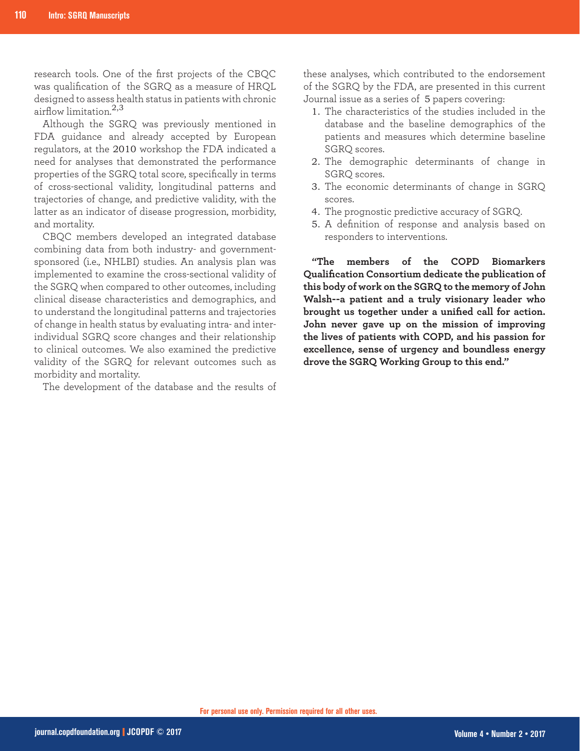research tools. One of the first projects of the CBQC was qualification of the SGRQ as a measure of HRQL designed to assess health status in patients with chronic airflow limitation.<sup>2,3</sup>

Although the SGRQ was previously mentioned in FDA guidance and already accepted by European regulators, at the 2010 workshop the FDA indicated a need for analyses that demonstrated the performance properties of the SGRQ total score, specifically in terms of cross-sectional validity, longitudinal patterns and trajectories of change, and predictive validity, with the latter as an indicator of disease progression, morbidity, and mortality.

CBQC members developed an integrated database combining data from both industry- and governmentsponsored (i.e., NHLBI) studies. An analysis plan was implemented to examine the cross-sectional validity of the SGRQ when compared to other outcomes, including clinical disease characteristics and demographics, and to understand the longitudinal patterns and trajectories of change in health status by evaluating intra- and interindividual SGRQ score changes and their relationship to clinical outcomes. We also examined the predictive validity of the SGRQ for relevant outcomes such as morbidity and mortality.

The development of the database and the results of

these analyses, which contributed to the endorsement of the SGRQ by the FDA, are presented in this current Journal issue as a series of 5 papers covering:

- 1. The characteristics of the studies included in the database and the baseline demographics of the patients and measures which determine baseline SGRQ scores.
- The demographic determinants of change in 2. SGRQ scores.
- 3. The economic determinants of change in SGRQ scores.
- The prognostic predictive accuracy of SGRQ. 4.
- A definition of response and analysis based on 5.responders to interventions.

**"The members of the COPD Biomarkers Qualification Consortium dedicate the publication of this body of work on the SGRQ to the memory of John Walsh--a patient and a truly visionary leader who brought us together under a unified call for action. John never gave up on the mission of improving the lives of patients with COPD, and his passion for excellence, sense of urgency and boundless energy drove the SGRQ Working Group to this end."**